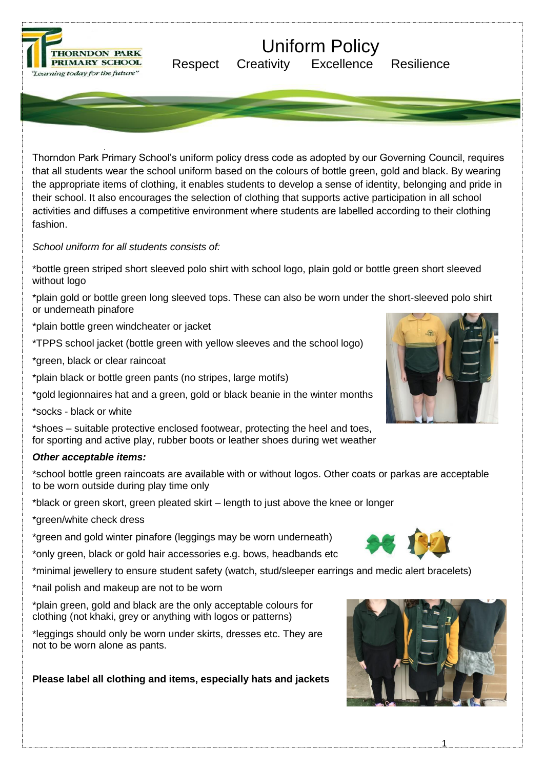

# Uniform Policy

Respect Creativity Excellence Resilience

Thorndon Park Primary School's uniform policy dress code as adopted by our Governing Council, requires that all students wear the school uniform based on the colours of bottle green, gold and black. By wearing the appropriate items of clothing, it enables students to develop a sense of identity, belonging and pride in their school. It also encourages the selection of clothing that supports active participation in all school activities and diffuses a competitive environment where students are labelled according to their clothing fashion.

*School uniform for all students consists of:*

\*bottle green striped short sleeved polo shirt with school logo, plain gold or bottle green short sleeved without logo

\*plain gold or bottle green long sleeved tops. These can also be worn under the short-sleeved polo shirt or underneath pinafore

\*plain bottle green windcheater or jacket

\*TPPS school jacket (bottle green with yellow sleeves and the school logo)

\*green, black or clear raincoat

\*plain black or bottle green pants (no stripes, large motifs)

\*gold legionnaires hat and a green, gold or black beanie in the winter months

\*socks - black or white

\*shoes – suitable protective enclosed footwear, protecting the heel and toes, for sporting and active play, rubber boots or leather shoes during wet weather

# *Other acceptable items:*

\*school bottle green raincoats are available with or without logos. Other coats or parkas are acceptable to be worn outside during play time only

\*black or green skort, green pleated skirt – length to just above the knee or longer

\*green/white check dress

\*green and gold winter pinafore (leggings may be worn underneath)

\*only green, black or gold hair accessories e.g. bows, headbands etc

\*minimal jewellery to ensure student safety (watch, stud/sleeper earrings and medic alert bracelets)

\*nail polish and makeup are not to be worn

\*plain green, gold and black are the only acceptable colours for clothing (not khaki, grey or anything with logos or patterns)

\*leggings should only be worn under skirts, dresses etc. They are not to be worn alone as pants.

**Please label all clothing and items, especially hats and jackets**



1



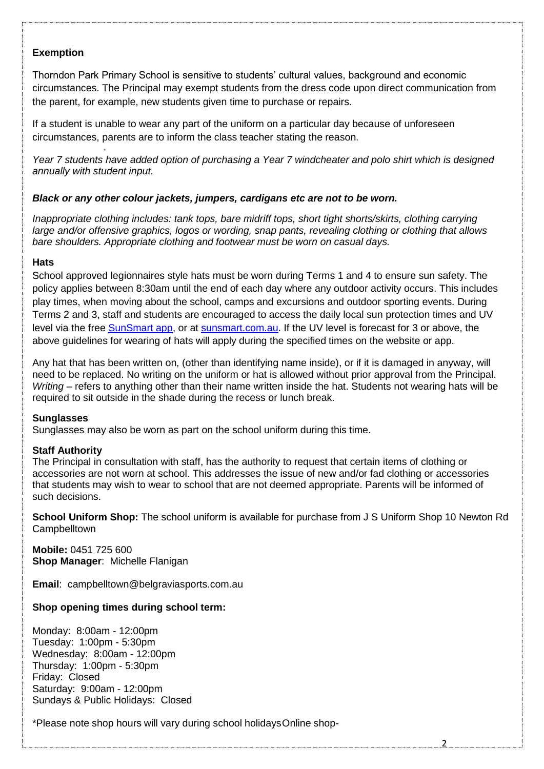## **Exemption**

Thorndon Park Primary School is sensitive to students' cultural values, background and economic circumstances. The Principal may exempt students from the dress code upon direct communication from the parent, for example, new students given time to purchase or repairs.

If a student is unable to wear any part of the uniform on a particular day because of unforeseen circumstances, parents are to inform the class teacher stating the reason.

*Year 7 students have added option of purchasing a Year 7 windcheater and polo shirt which is designed annually with student input.*

## *Black or any other colour jackets, jumpers, cardigans etc are not to be worn.*

*Inappropriate clothing includes: tank tops, bare midriff tops, short tight shorts/skirts, clothing carrying large and/or offensive graphics, logos or wording, snap pants, revealing clothing or clothing that allows bare shoulders. Appropriate clothing and footwear must be worn on casual days.*

#### **Hats**

School approved legionnaires style hats must be worn during Terms 1 and 4 to ensure sun safety. The policy applies between 8:30am until the end of each day where any outdoor activity occurs. This includes play times, when moving about the school, camps and excursions and outdoor sporting events. During Terms 2 and 3, staff and students are encouraged to access the daily local sun protection times and UV level via the free [SunSmart app, o](http://www.sunsmart.com.au/tools/interactive-tools/free-sunsmart-app)r at [sunsmart.com.au. I](http://www.sunsmart.com.au/)f the UV level is forecast for 3 or above, the above guidelines for wearing of hats will apply during the specified times on the website or app.

Any hat that has been written on, (other than identifying name inside), or if it is damaged in anyway, will need to be replaced. No writing on the uniform or hat is allowed without prior approval from the Principal. *Writing* – refers to anything other than their name written inside the hat. Students not wearing hats will be required to sit outside in the shade during the recess or lunch break.

#### **Sunglasses**

Sunglasses may also be worn as part on the school uniform during this time.

#### **Staff Authority**

The Principal in consultation with staff, has the authority to request that certain items of clothing or accessories are not worn at school. This addresses the issue of new and/or fad clothing or accessories that students may wish to wear to school that are not deemed appropriate. Parents will be informed of such decisions.

**School Uniform Shop:** The school uniform is available for purchase from J S Uniform Shop 10 Newton Rd **Campbelltown** 

2

**Mobile:** 0451 725 600 **Shop Manager**: Michelle Flanigan

**Email**: campbelltown@belgraviasports.com.au

# **Shop opening times during school term:**

Monday: 8:00am - 12:00pm Tuesday: 1:00pm - 5:30pm Wednesday: 8:00am - 12:00pm Thursday: 1:00pm - 5:30pm Friday: Closed Saturday: 9:00am - 12:00pm Sundays & Public Holidays: Closed

\*Please note shop hours will vary during school holidaysOnline shop-